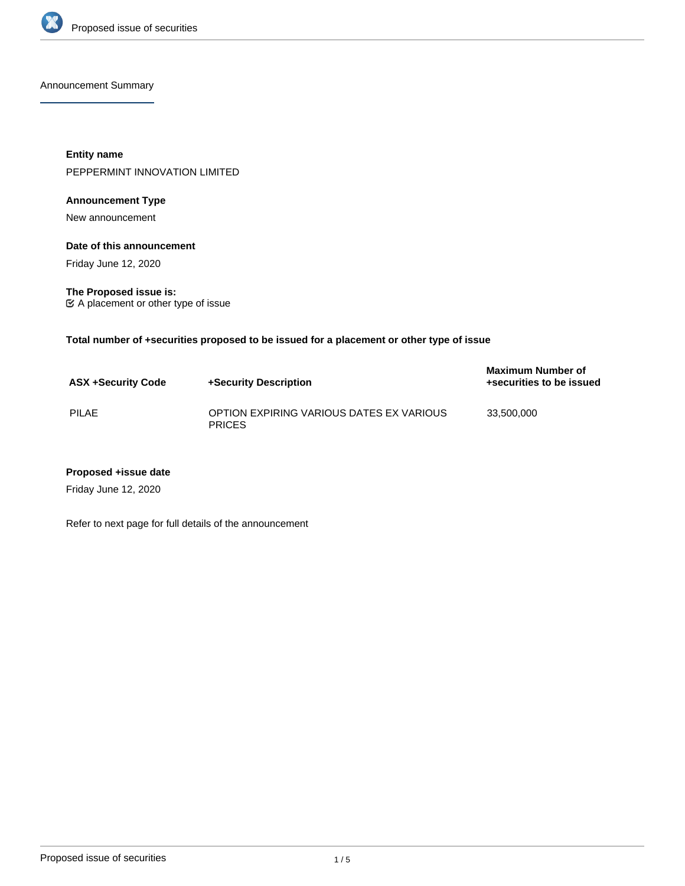

Announcement Summary

**Entity name** PEPPERMINT INNOVATION LIMITED

## **Announcement Type**

New announcement

**Date of this announcement**

Friday June 12, 2020

**The Proposed issue is:** A placement or other type of issue

**Total number of +securities proposed to be issued for a placement or other type of issue**

| <b>ASX +Security Code</b> | +Security Description                                     | <b>Maximum Number of</b><br>+securities to be issued |
|---------------------------|-----------------------------------------------------------|------------------------------------------------------|
| PILAE                     | OPTION EXPIRING VARIOUS DATES EX VARIOUS<br><b>PRICES</b> | 33.500.000                                           |

#### **Proposed +issue date**

Friday June 12, 2020

Refer to next page for full details of the announcement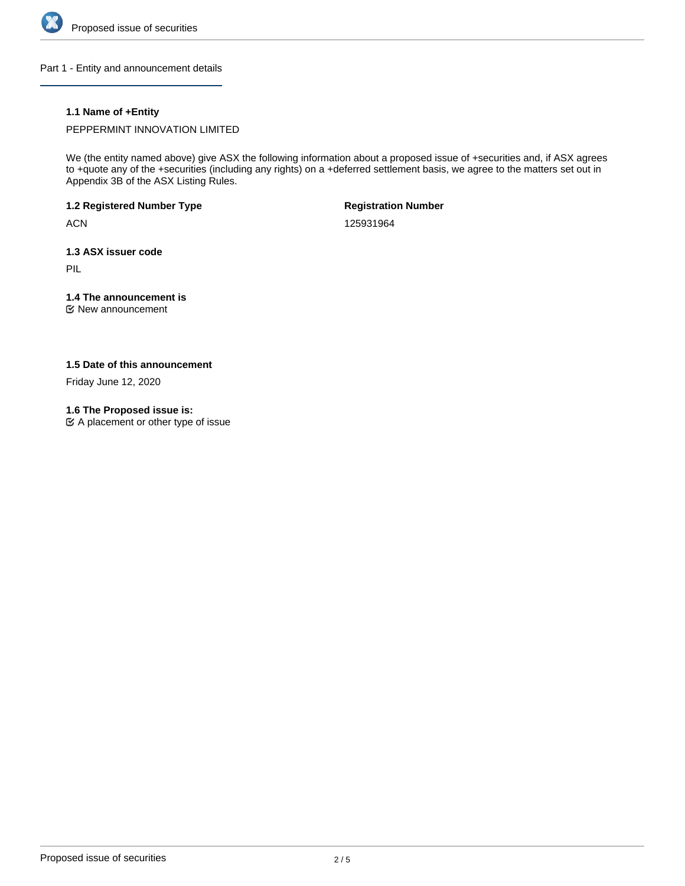

Part 1 - Entity and announcement details

## **1.1 Name of +Entity**

PEPPERMINT INNOVATION LIMITED

We (the entity named above) give ASX the following information about a proposed issue of +securities and, if ASX agrees to +quote any of the +securities (including any rights) on a +deferred settlement basis, we agree to the matters set out in Appendix 3B of the ASX Listing Rules.

**1.2 Registered Number Type**

**ACN** 

**Registration Number**

125931964

**1.3 ASX issuer code**

PIL

# **1.4 The announcement is**

New announcement

## **1.5 Date of this announcement**

Friday June 12, 2020

### **1.6 The Proposed issue is:**

A placement or other type of issue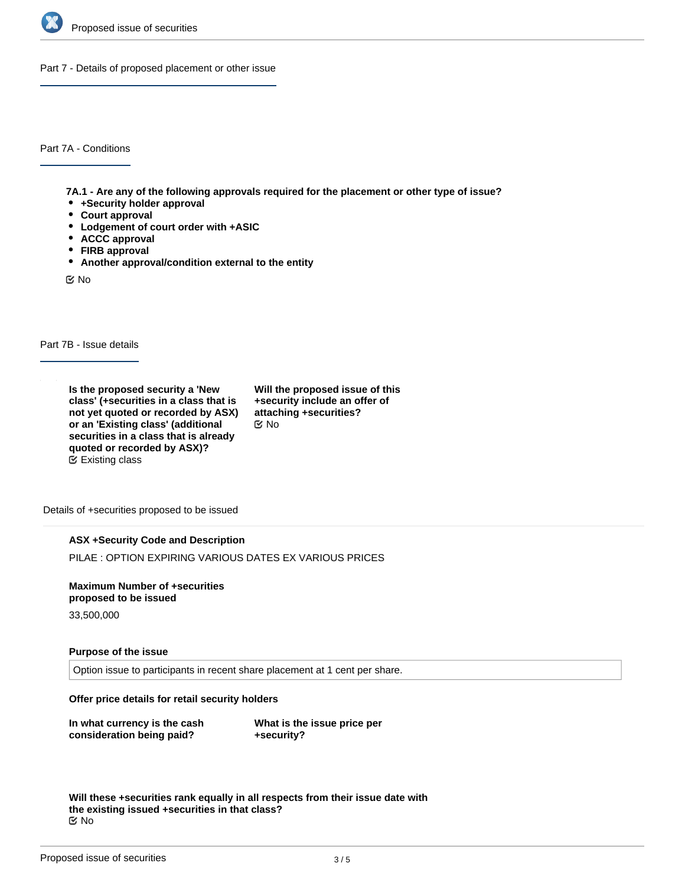

Part 7 - Details of proposed placement or other issue

Part 7A - Conditions

**7A.1 - Are any of the following approvals required for the placement or other type of issue?**

- **+Security holder approval**
- **Court approval**
- **Lodgement of court order with +ASIC**
- **ACCC approval**
- **FIRB approval**
- **Another approval/condition external to the entity**

No

Part 7B - Issue details

**Is the proposed security a 'New class' (+securities in a class that is not yet quoted or recorded by ASX) or an 'Existing class' (additional securities in a class that is already quoted or recorded by ASX)?** Existing class

**Will the proposed issue of this +security include an offer of attaching +securities?** No

Details of +securities proposed to be issued

### **ASX +Security Code and Description**

PILAE : OPTION EXPIRING VARIOUS DATES EX VARIOUS PRICES

**Maximum Number of +securities proposed to be issued**

33,500,000

### **Purpose of the issue**

Option issue to participants in recent share placement at 1 cent per share.

**Offer price details for retail security holders**

**In what currency is the cash consideration being paid?**

**What is the issue price per +security?**

**Will these +securities rank equally in all respects from their issue date with the existing issued +securities in that class?** No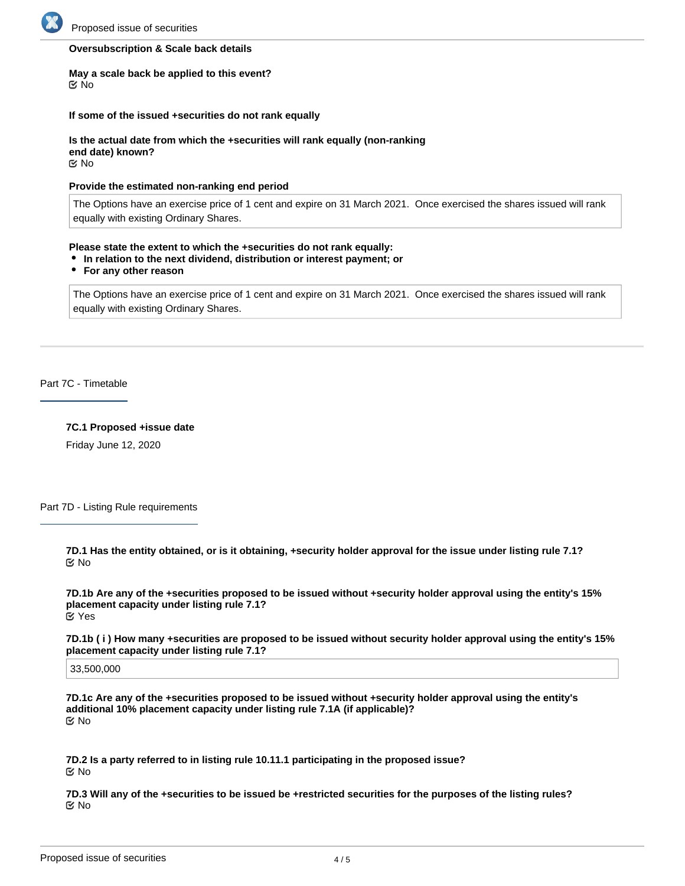

#### **Oversubscription & Scale back details**

#### **May a scale back be applied to this event?** No

#### **If some of the issued +securities do not rank equally**

**Is the actual date from which the +securities will rank equally (non-ranking end date) known? EX No** 

#### **Provide the estimated non-ranking end period**

The Options have an exercise price of 1 cent and expire on 31 March 2021. Once exercised the shares issued will rank equally with existing Ordinary Shares.

#### **Please state the extent to which the +securities do not rank equally:**

- **In relation to the next dividend, distribution or interest payment; or**
- **For any other reason**

The Options have an exercise price of 1 cent and expire on 31 March 2021. Once exercised the shares issued will rank equally with existing Ordinary Shares.

Part 7C - Timetable

#### **7C.1 Proposed +issue date**

Friday June 12, 2020

Part 7D - Listing Rule requirements

**7D.1 Has the entity obtained, or is it obtaining, +security holder approval for the issue under listing rule 7.1?** No

**7D.1b Are any of the +securities proposed to be issued without +security holder approval using the entity's 15% placement capacity under listing rule 7.1?** Yes

**7D.1b ( i ) How many +securities are proposed to be issued without security holder approval using the entity's 15% placement capacity under listing rule 7.1?**

33,500,000

**7D.1c Are any of the +securities proposed to be issued without +security holder approval using the entity's additional 10% placement capacity under listing rule 7.1A (if applicable)?** No

**7D.2 Is a party referred to in listing rule 10.11.1 participating in the proposed issue?** No

**7D.3 Will any of the +securities to be issued be +restricted securities for the purposes of the listing rules?** No